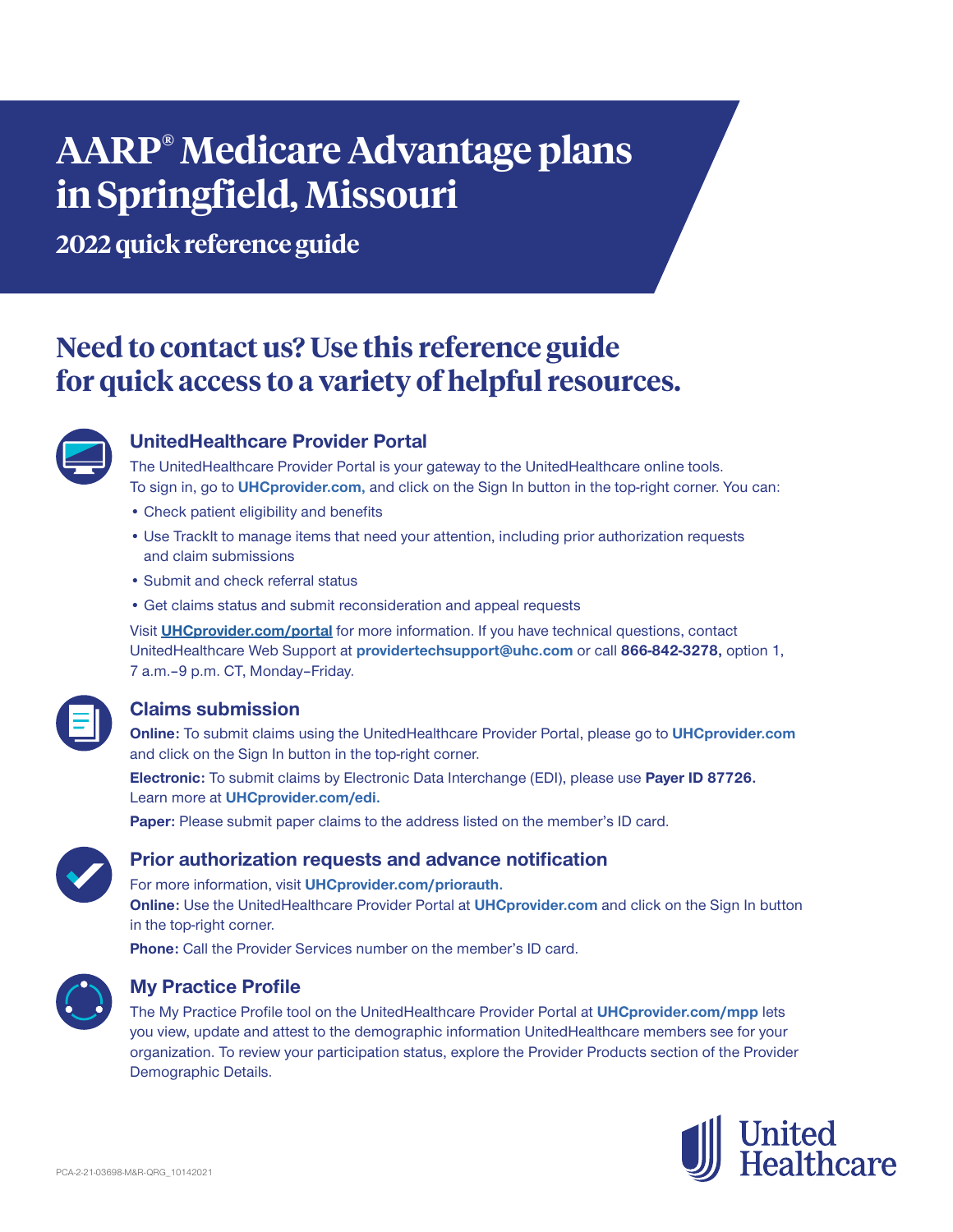# **AARP® Medicare Advantage plans in Springfield, Missouri**

**2022 quick reference guide**

# **Need to contact us? Use this reference guide for quick access to a variety of helpful resources.**



# **UnitedHealthcare Provider Portal**

The UnitedHealthcare Provider Portal is your gateway to the UnitedHealthcare online tools. To sign in, go to **UHCprovider.com,** and click on the Sign In button in the top-right corner. You can:

- Check patient eligibility and benefits
- Use TrackIt to manage items that need your attention, including prior authorization requests and claim submissions
- Submit and check referral status
- Get claims status and submit reconsideration and appeal requests

Visit **UHCprovider.com/portal** for more information. If you have technical questions, contact UnitedHealthcare Web Support at **providertechsupport@uhc.com** or call **866-842-3278,** option 1, 7 a.m. - 9 p.m. CT, Monday - Friday.

# **Claims submission**

**Online:** To submit claims using the UnitedHealthcare Provider Portal, please go to **UHCprovider.com** and click on the Sign In button in the top-right corner.

**Electronic:** To submit claims by Electronic Data Interchange (EDI), please use **Payer ID 87726.** Learn more at **UHCprovider.com/edi.**

**Paper:** Please submit paper claims to the address listed on the member's ID card.



# **Prior authorization requests and advance notification**

For more information, visit **UHCprovider.com/priorauth. Online:** Use the UnitedHealthcare Provider Portal at **UHCprovider.com** and click on the Sign In button

in the top-right corner.

**Phone:** Call the Provider Services number on the member's ID card.



# **My Practice Profile**

The My Practice Profile tool on the UnitedHealthcare Provider Portal at **UHCprovider.com/mpp** lets you view, update and attest to the demographic information UnitedHealthcare members see for your organization. To review your participation status, explore the Provider Products section of the Provider Demographic Details.

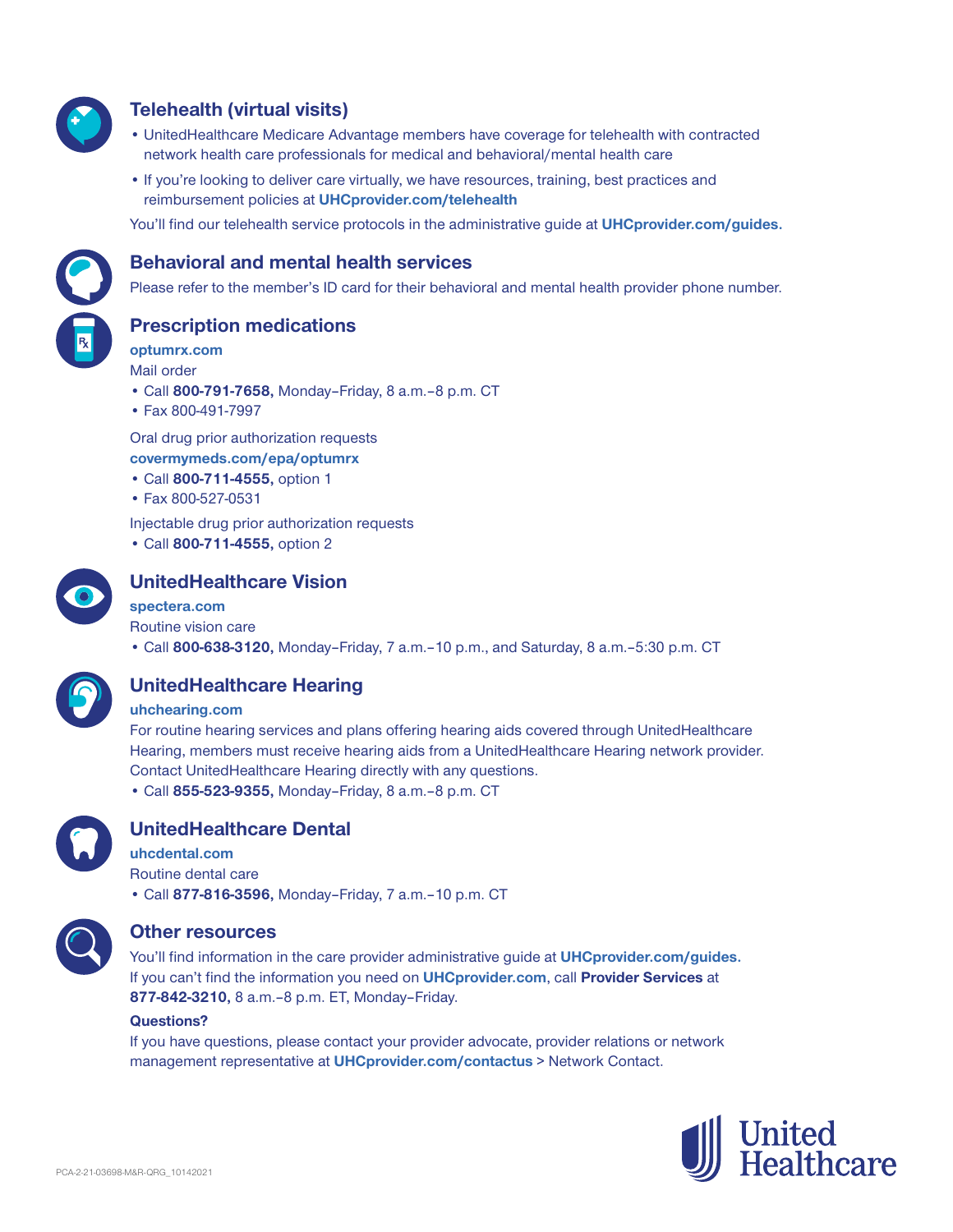

# **Telehealth (virtual visits)**

- UnitedHealthcare Medicare Advantage members have coverage for telehealth with contracted network health care professionals for medical and behavioral/mental health care
- If you're looking to deliver care virtually, we have resources, training, best practices and reimbursement policies at **UHCprovider.com/telehealth**

You'll find our telehealth service protocols in the administrative guide at **UHCprovider.com/guides.**



## **Behavioral and mental health services**

Please refer to the member's ID card for their behavioral and mental health provider phone number.

**Prescription medications**

**optumrx.com** Mail order

- Call **800-791-7658,** Monday–Friday, 8 a.m.‒8 p.m. CT
- Fax 800-491-7997

Oral drug prior authorization requests **covermymeds.com/epa/optumrx**

- Call **800-711-4555,** option 1
- Fax 800-527-0531

Injectable drug prior authorization requests

• Call **800-711-4555,** option 2



# **UnitedHealthcare Vision**

#### **spectera.com**

Routine vision care

• Call **800-638-3120,** Monday–Friday, 7 a.m.–10 p.m., and Saturday, 8 a.m.–5:30 p.m. CT



# **UnitedHealthcare Hearing**

#### **uhchearing.com**

For routine hearing services and plans offering hearing aids covered through UnitedHealthcare Hearing, members must receive hearing aids from a UnitedHealthcare Hearing network provider. Contact UnitedHealthcare Hearing directly with any questions. • Call **855-523-9355,** Monday–Friday, 8 a.m.–8 p.m. CT



# **UnitedHealthcare Dental**

**uhcdental.com** Routine dental care • Call **877-816-3596,** Monday–Friday, 7 a.m.–10 p.m. CT



### **Other resources**

You'll find information in the care provider administrative guide at **UHCprovider.com/guides.** If you can't find the information you need on **UHCprovider.com**, call **Provider Services** at **877-842-3210,** 8 a.m.–8 p.m. ET, Monday–Friday.

#### **Questions?**

If you have questions, please contact your provider advocate, provider relations or network management representative at **UHCprovider.com/contactus** > Network Contact.

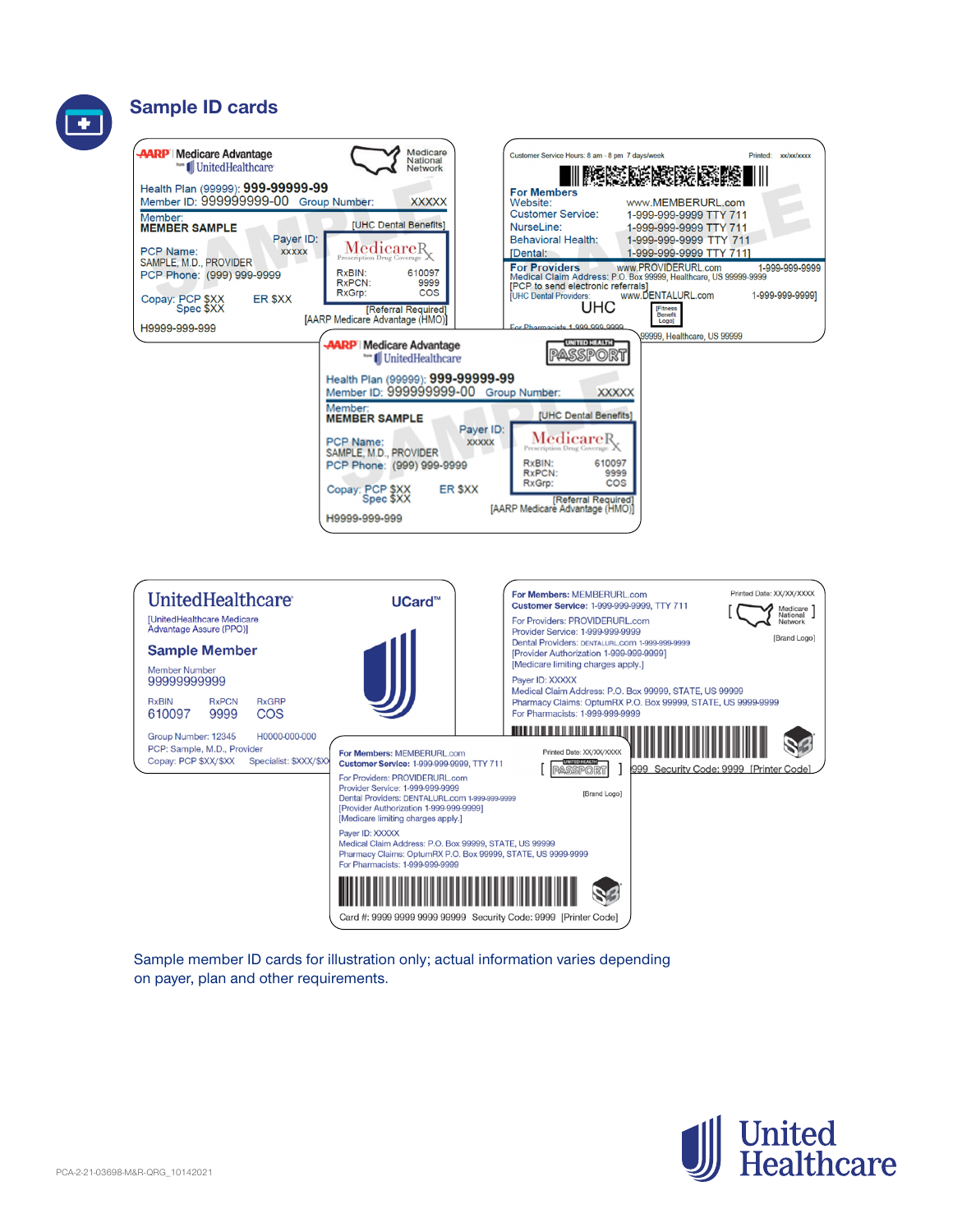# **Sample ID cards**





Sample member ID cards for illustration only; actual information varies depending on payer, plan and other requirements.